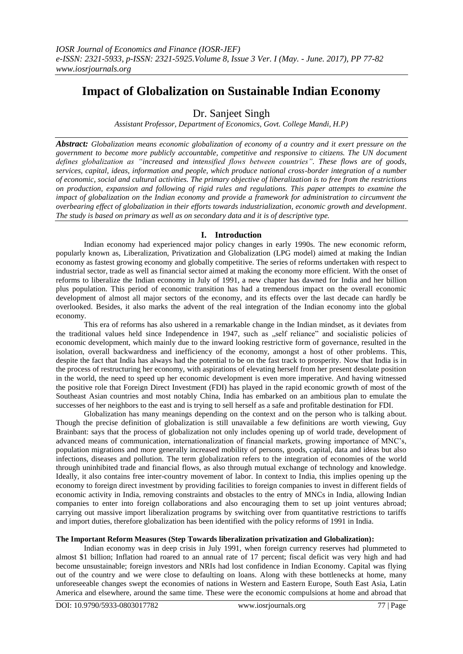# **Impact of Globalization on Sustainable Indian Economy**

Dr. Sanjeet Singh

*Assistant Professor, Department of Economics, Govt. College Mandi, H.P)*

*Abstract: Globalization means economic globalization of economy of a country and it exert pressure on the government to become more publicly accountable, competitive and responsive to citizens. The UN document defines globalization as "increased and intensified flows between countries". These flows are of goods, services, capital, ideas, information and people, which produce national cross-border integration of a number of economic, social and cultural activities. The primary objective of liberalization is to free from the restrictions on production, expansion and following of rigid rules and regulations. This paper attempts to examine the impact of globalization on the Indian economy and provide a framework for administration to circumvent the overbearing effect of globalization in their efforts towards industrialization, economic growth and development. The study is based on primary as well as on secondary data and it is of descriptive type.* 

# **I. Introduction**

Indian economy had experienced major policy changes in early 1990s. The new economic reform, popularly known as, Liberalization, Privatization and Globalization (LPG model) aimed at making the Indian economy as fastest growing economy and globally competitive. The series of reforms undertaken with respect to industrial sector, trade as well as financial sector aimed at making the economy more efficient. With the onset of reforms to liberalize the Indian economy in July of 1991, a new chapter has dawned for India and her billion plus population. This period of economic transition has had a tremendous impact on the overall economic development of almost all major sectors of the economy, and its effects over the last decade can hardly be overlooked. Besides, it also marks the advent of the real integration of the Indian economy into the global economy.

This era of reforms has also ushered in a remarkable change in the Indian mindset, as it deviates from the traditional values held since Independence in 1947, such as "self reliance" and socialistic policies of economic development, which mainly due to the inward looking restrictive form of governance, resulted in the isolation, overall backwardness and inefficiency of the economy, amongst a host of other problems. This, despite the fact that India has always had the potential to be on the fast track to prosperity. Now that India is in the process of restructuring her economy, with aspirations of elevating herself from her present desolate position in the world, the need to speed up her economic development is even more imperative. And having witnessed the positive role that Foreign Direct Investment (FDI) has played in the rapid economic growth of most of the Southeast Asian countries and most notably China, India has embarked on an ambitious plan to emulate the successes of her neighbors to the east and is trying to sell herself as a safe and profitable destination for FDI.

Globalization has many meanings depending on the context and on the person who is talking about. Though the precise definition of globalization is still unavailable a few definitions are worth viewing, Guy Brainbant: says that the process of globalization not only includes opening up of world trade, development of advanced means of communication, internationalization of financial markets, growing importance of MNC"s, population migrations and more generally increased mobility of persons, goods, capital, data and ideas but also infections, diseases and pollution. The term globalization refers to the integration of economies of the world through uninhibited trade and financial flows, as also through mutual exchange of technology and knowledge. Ideally, it also contains free inter-country movement of labor. In context to India, this implies opening up the economy to foreign direct investment by providing facilities to foreign companies to invest in different fields of economic activity in India, removing constraints and obstacles to the entry of MNCs in India, allowing Indian companies to enter into foreign collaborations and also encouraging them to set up joint ventures abroad; carrying out massive import liberalization programs by switching over from quantitative restrictions to tariffs and import duties, therefore globalization has been identified with the policy reforms of 1991 in India.

# **The Important Reform Measures (Step Towards liberalization privatization and Globalization):**

Indian economy was in deep crisis in July 1991, when foreign currency reserves had plummeted to almost \$1 billion; Inflation had roared to an annual rate of 17 percent; fiscal deficit was very high and had become unsustainable; foreign investors and NRIs had lost confidence in Indian Economy. Capital was flying out of the country and we were close to defaulting on loans. Along with these bottlenecks at home, many unforeseeable changes swept the economies of nations in Western and Eastern Europe, South East Asia, Latin America and elsewhere, around the same time. These were the economic compulsions at home and abroad that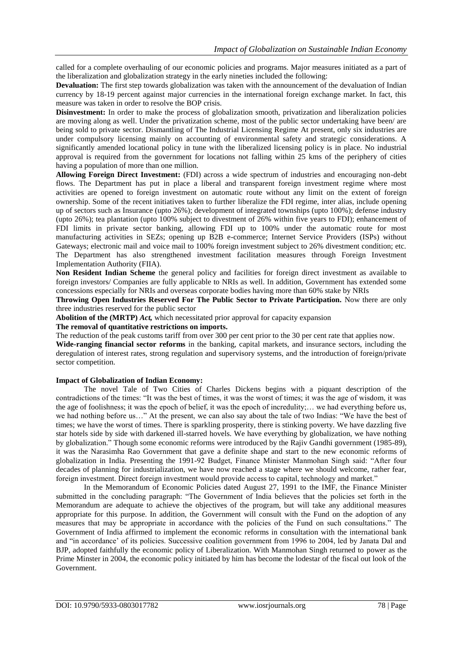called for a complete overhauling of our economic policies and programs. Major measures initiated as a part of the liberalization and globalization strategy in the early nineties included the following:

**Devaluation:** The first step towards globalization was taken with the announcement of the devaluation of Indian currency by 18-19 percent against major currencies in the international foreign exchange market. In fact, this measure was taken in order to resolve the BOP crisis.

**Disinvestment:** In order to make the process of globalization smooth, privatization and liberalization policies are moving along as well. Under the privatization scheme, most of the public sector undertaking have been/ are being sold to private sector. Dismantling of The Industrial Licensing Regime At present, only six industries are under compulsory licensing mainly on accounting of environmental safety and strategic considerations. A significantly amended locational policy in tune with the liberalized licensing policy is in place. No industrial approval is required from the government for locations not falling within 25 kms of the periphery of cities having a population of more than one million.

**Allowing Foreign Direct Investment:** (FDI) across a wide spectrum of industries and encouraging non-debt flows. The Department has put in place a liberal and transparent foreign investment regime where most activities are opened to foreign investment on automatic route without any limit on the extent of foreign ownership. Some of the recent initiatives taken to further liberalize the FDI regime, inter alias, include opening up of sectors such as Insurance (upto 26%); development of integrated townships (upto 100%); defense industry (upto 26%); tea plantation (upto 100% subject to divestment of 26% within five years to FDI); enhancement of FDI limits in private sector banking, allowing FDI up to 100% under the automatic route for most manufacturing activities in SEZs; opening up B2B e-commerce; Internet Service Providers (ISPs) without Gateways; electronic mail and voice mail to 100% foreign investment subject to 26% divestment condition; etc. The Department has also strengthened investment facilitation measures through Foreign Investment Implementation Authority (FIIA).

**Non Resident Indian Scheme** the general policy and facilities for foreign direct investment as available to foreign investors/ Companies are fully applicable to NRIs as well. In addition, Government has extended some concessions especially for NRIs and overseas corporate bodies having more than 60% stake by NRIs

**Throwing Open Industries Reserved For The Public Sector to Private Participation.** Now there are only three industries reserved for the public sector

**Abolition of the (MRTP)** *Act,* which necessitated prior approval for capacity expansion

**The removal of quantitative restrictions on imports.** 

The reduction of the peak customs tariff from over 300 per cent prior to the 30 per cent rate that applies now.

**Wide-ranging financial sector reforms** in the banking, capital markets, and insurance sectors, including the deregulation of interest rates, strong regulation and supervisory systems, and the introduction of foreign/private sector competition.

## **Impact of Globalization of Indian Economy:**

The novel Tale of Two Cities of Charles Dickens begins with a piquant description of the contradictions of the times: "It was the best of times, it was the worst of times; it was the age of wisdom, it was the age of foolishness; it was the epoch of belief, it was the epoch of incredulity;… we had everything before us, we had nothing before us…" At the present, we can also say about the tale of two Indias: "We have the best of times; we have the worst of times. There is sparkling prosperity, there is stinking poverty. We have dazzling five star hotels side by side with darkened ill-starred hovels. We have everything by globalization, we have nothing by globalization." Though some economic reforms were introduced by the Rajiv Gandhi government (1985-89), it was the Narasimha Rao Government that gave a definite shape and start to the new economic reforms of globalization in India. Presenting the 1991-92 Budget, Finance Minister Manmohan Singh said: "After four decades of planning for industrialization, we have now reached a stage where we should welcome, rather fear, foreign investment. Direct foreign investment would provide access to capital, technology and market."

In the Memorandum of Economic Policies dated August 27, 1991 to the IMF, the Finance Minister submitted in the concluding paragraph: "The Government of India believes that the policies set forth in the Memorandum are adequate to achieve the objectives of the program, but will take any additional measures appropriate for this purpose. In addition, the Government will consult with the Fund on the adoption of any measures that may be appropriate in accordance with the policies of the Fund on such consultations." The Government of India affirmed to implement the economic reforms in consultation with the international bank and "in accordance" of its policies. Successive coalition government from 1996 to 2004, led by Janata Dal and BJP, adopted faithfully the economic policy of Liberalization. With Manmohan Singh returned to power as the Prime Minster in 2004, the economic policy initiated by him has become the lodestar of the fiscal out look of the Government.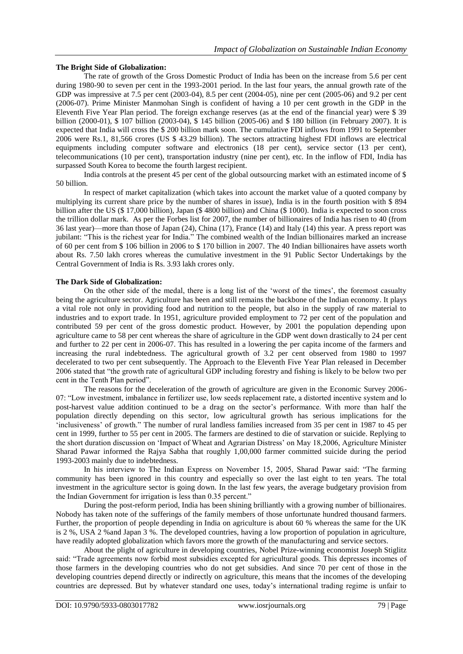#### **The Bright Side of Globalization:**

The rate of growth of the Gross Domestic Product of India has been on the increase from 5.6 per cent during 1980-90 to seven per cent in the 1993-2001 period. In the last four years, the annual growth rate of the GDP was impressive at 7.5 per cent (2003-04), 8.5 per cent (2004-05), nine per cent (2005-06) and 9.2 per cent (2006-07). Prime Minister Manmohan Singh is confident of having a 10 per cent growth in the GDP in the Eleventh Five Year Plan period. The foreign exchange reserves (as at the end of the financial year) were \$ 39 billion (2000-01), \$ 107 billion (2003-04), \$ 145 billion (2005-06) and \$ 180 billion (in February 2007). It is expected that India will cross the \$ 200 billion mark soon. The cumulative FDI inflows from 1991 to September 2006 were Rs.1, 81,566 crores (US \$ 43.29 billion). The sectors attracting highest FDI inflows are electrical equipments including computer software and electronics (18 per cent), service sector (13 per cent), telecommunications (10 per cent), transportation industry (nine per cent), etc. In the inflow of FDI, India has surpassed South Korea to become the fourth largest recipient.

India controls at the present 45 per cent of the global outsourcing market with an estimated income of \$ 50 billion.

In respect of market capitalization (which takes into account the market value of a quoted company by multiplying its current share price by the number of shares in issue), India is in the fourth position with \$ 894 billion after the US (\$ 17,000 billion), Japan (\$ 4800 billion) and China (\$ 1000). India is expected to soon cross the trillion dollar mark. As per the Forbes list for 2007, the number of billionaires of India has risen to 40 (from 36 last year)—more than those of Japan (24), China (17), France (14) and Italy (14) this year. A press report was jubilant: "This is the richest year for India." The combined wealth of the Indian billionaires marked an increase of 60 per cent from \$ 106 billion in 2006 to \$ 170 billion in 2007. The 40 Indian billionaires have assets worth about Rs. 7.50 lakh crores whereas the cumulative investment in the 91 Public Sector Undertakings by the Central Government of India is Rs. 3.93 lakh crores only.

## **The Dark Side of Globalization:**

On the other side of the medal, there is a long list of the 'worst of the times', the foremost casualty being the agriculture sector. Agriculture has been and still remains the backbone of the Indian economy. It plays a vital role not only in providing food and nutrition to the people, but also in the supply of raw material to industries and to export trade. In 1951, agriculture provided employment to 72 per cent of the population and contributed 59 per cent of the gross domestic product. However, by 2001 the population depending upon agriculture came to 58 per cent whereas the share of agriculture in the GDP went down drastically to 24 per cent and further to 22 per cent in 2006-07. This has resulted in a lowering the per capita income of the farmers and increasing the rural indebtedness. The agricultural growth of 3.2 per cent observed from 1980 to 1997 decelerated to two per cent subsequently. The Approach to the Eleventh Five Year Plan released in December 2006 stated that "the growth rate of agricultural GDP including forestry and fishing is likely to be below two per cent in the Tenth Plan period".

The reasons for the deceleration of the growth of agriculture are given in the Economic Survey 2006- 07: "Low investment, imbalance in fertilizer use, low seeds replacement rate, a distorted incentive system and lo post-harvest value addition continued to be a drag on the sector"s performance. With more than half the population directly depending on this sector, low agricultural growth has serious implications for the "inclusiveness" of growth." The number of rural landless families increased from 35 per cent in 1987 to 45 per cent in 1999, further to 55 per cent in 2005. The farmers are destined to die of starvation or suicide. Replying to the short duration discussion on "Impact of Wheat and Agrarian Distress" on May 18,2006, Agriculture Minister Sharad Pawar informed the Rajya Sabha that roughly 1,00,000 farmer committed suicide during the period 1993-2003 mainly due to indebtedness.

In his interview to The Indian Express on November 15, 2005, Sharad Pawar said: "The farming community has been ignored in this country and especially so over the last eight to ten years. The total investment in the agriculture sector is going down. In the last few years, the average budgetary provision from the Indian Government for irrigation is less than 0.35 percent."

During the post-reform period, India has been shining brilliantly with a growing number of billionaires. Nobody has taken note of the sufferings of the family members of those unfortunate hundred thousand farmers. Further, the proportion of people depending in India on agriculture is about 60 % whereas the same for the UK is 2 %, USA 2 %and Japan 3 %. The developed countries, having a low proportion of population in agriculture, have readily adopted globalization which favors more the growth of the manufacturing and service sectors.

About the plight of agriculture in developing countries, Nobel Prize-winning economist Joseph Stiglitz said: "Trade agreements now forbid most subsidies excepted for agricultural goods. This depresses incomes of those farmers in the developing countries who do not get subsidies. And since 70 per cent of those in the developing countries depend directly or indirectly on agriculture, this means that the incomes of the developing countries are depressed. But by whatever standard one uses, today"s international trading regime is unfair to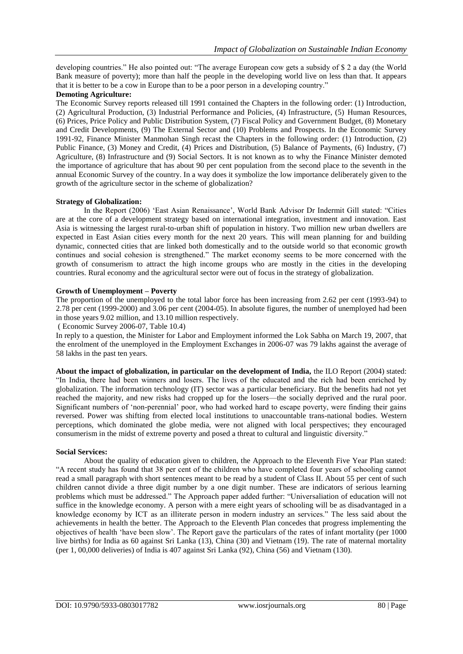developing countries." He also pointed out: "The average European cow gets a subsidy of \$ 2 a day (the World Bank measure of poverty); more than half the people in the developing world live on less than that. It appears that it is better to be a cow in Europe than to be a poor person in a developing country."

## **Demoting Agriculture:**

The Economic Survey reports released till 1991 contained the Chapters in the following order: (1) Introduction, (2) Agricultural Production, (3) Industrial Performance and Policies, (4) Infrastructure, (5) Human Resources, (6) Prices, Price Policy and Public Distribution System, (7) Fiscal Policy and Government Budget, (8) Monetary and Credit Developments, (9) The External Sector and (10) Problems and Prospects. In the Economic Survey 1991-92, Finance Minister Manmohan Singh recast the Chapters in the following order: (1) Introduction, (2) Public Finance, (3) Money and Credit, (4) Prices and Distribution, (5) Balance of Payments, (6) Industry, (7) Agriculture, (8) Infrastructure and (9) Social Sectors. It is not known as to why the Finance Minister demoted the importance of agriculture that has about 90 per cent population from the second place to the seventh in the annual Economic Survey of the country. In a way does it symbolize the low importance deliberately given to the growth of the agriculture sector in the scheme of globalization?

## **Strategy of Globalization:**

In the Report (2006) "East Asian Renaissance", World Bank Advisor Dr Indermit Gill stated: "Cities are at the core of a development strategy based on international integration, investment and innovation. East Asia is witnessing the largest rural-to-urban shift of population in history. Two million new urban dwellers are expected in East Asian cities every month for the next 20 years. This will mean planning for and building dynamic, connected cities that are linked both domestically and to the outside world so that economic growth continues and social cohesion is strengthened." The market economy seems to be more concerned with the growth of consumerism to attract the high income groups who are mostly in the cities in the developing countries. Rural economy and the agricultural sector were out of focus in the strategy of globalization.

## **Growth of Unemployment – Poverty**

The proportion of the unemployed to the total labor force has been increasing from 2.62 per cent (1993-94) to 2.78 per cent (1999-2000) and 3.06 per cent (2004-05). In absolute figures, the number of unemployed had been in those years 9.02 million, and 13.10 million respectively.

( Economic Survey 2006-07, Table 10.4)

In reply to a question, the Minister for Labor and Employment informed the Lok Sabha on March 19, 2007, that the enrolment of the unemployed in the Employment Exchanges in 2006-07 was 79 lakhs against the average of 58 lakhs in the past ten years.

**About the impact of globalization, in particular on the development of India,** the ILO Report (2004) stated: "In India, there had been winners and losers. The lives of the educated and the rich had been enriched by globalization. The information technology (IT) sector was a particular beneficiary. But the benefits had not yet reached the majority, and new risks had cropped up for the losers—the socially deprived and the rural poor. Significant numbers of "non-perennial" poor, who had worked hard to escape poverty, were finding their gains reversed. Power was shifting from elected local institutions to unaccountable trans-national bodies. Western perceptions, which dominated the globe media, were not aligned with local perspectives; they encouraged consumerism in the midst of extreme poverty and posed a threat to cultural and linguistic diversity."

#### **Social Services:**

About the quality of education given to children, the Approach to the Eleventh Five Year Plan stated: "A recent study has found that 38 per cent of the children who have completed four years of schooling cannot read a small paragraph with short sentences meant to be read by a student of Class II. About 55 per cent of such children cannot divide a three digit number by a one digit number. These are indicators of serious learning problems which must be addressed." The Approach paper added further: "Universaliation of education will not suffice in the knowledge economy. A person with a mere eight years of schooling will be as disadvantaged in a knowledge economy by ICT as an illiterate person in modern industry an services." The less said about the achievements in health the better. The Approach to the Eleventh Plan concedes that progress implementing the objectives of health "have been slow". The Report gave the particulars of the rates of infant mortality (per 1000 live births) for India as 60 against Sri Lanka (13), China (30) and Vietnam (19). The rate of maternal mortality (per 1, 00,000 deliveries) of India is 407 against Sri Lanka (92), China (56) and Vietnam (130).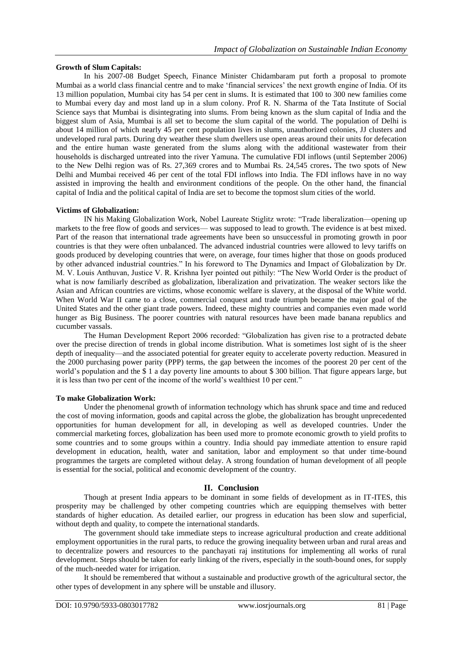## **Growth of Slum Capitals:**

In his 2007-08 Budget Speech, Finance Minister Chidambaram put forth a proposal to promote Mumbai as a world class financial centre and to make "financial services" the next growth engine of India. Of its 13 million population, Mumbai city has 54 per cent in slums. It is estimated that 100 to 300 new families come to Mumbai every day and most land up in a slum colony. Prof R. N. Sharma of the Tata Institute of Social Science says that Mumbai is disintegrating into slums. From being known as the slum capital of India and the biggest slum of Asia, Mumbai is all set to become the slum capital of the world. The population of Delhi is about 14 million of which nearly 45 per cent population lives in slums, unauthorized colonies, JJ clusters and undeveloped rural parts. During dry weather these slum dwellers use open areas around their units for defecation and the entire human waste generated from the slums along with the additional wastewater from their households is discharged untreated into the river Yamuna. The cumulative FDI inflows (until September 2006) to the New Delhi region was of Rs. 27,369 crores and to Mumbai Rs. 24,545 crores**.** The two spots of New Delhi and Mumbai received 46 per cent of the total FDI inflows into India. The FDI inflows have in no way assisted in improving the health and environment conditions of the people. On the other hand, the financial capital of India and the political capital of India are set to become the topmost slum cities of the world.

## **Victims of Globalization:**

IN his Making Globalization Work, Nobel Laureate Stiglitz wrote: "Trade liberalization—opening up markets to the free flow of goods and services— was supposed to lead to growth. The evidence is at best mixed. Part of the reason that international trade agreements have been so unsuccessful in promoting growth in poor countries is that they were often unbalanced. The advanced industrial countries were allowed to levy tariffs on goods produced by developing countries that were, on average, four times higher that those on goods produced by other advanced industrial countries." In his foreword to The Dynamics and Impact of Globalization by Dr. M. V. Louis Anthuvan, Justice V. R. Krishna Iyer pointed out pithily: "The New World Order is the product of what is now familiarly described as globalization, liberalization and privatization. The weaker sectors like the Asian and African countries are victims, whose economic welfare is slavery, at the disposal of the White world. When World War II came to a close, commercial conquest and trade triumph became the major goal of the United States and the other giant trade powers. Indeed, these mighty countries and companies even made world hunger as Big Business. The poorer countries with natural resources have been made banana republics and cucumber vassals.

The Human Development Report 2006 recorded: "Globalization has given rise to a protracted debate over the precise direction of trends in global income distribution. What is sometimes lost sight of is the sheer depth of inequality—and the associated potential for greater equity to accelerate poverty reduction. Measured in the 2000 purchasing power parity (PPP) terms, the gap between the incomes of the poorest 20 per cent of the world's population and the \$ 1 a day poverty line amounts to about \$ 300 billion. That figure appears large, but it is less than two per cent of the income of the world"s wealthiest 10 per cent."

#### **To make Globalization Work:**

Under the phenomenal growth of information technology which has shrunk space and time and reduced the cost of moving information, goods and capital across the globe, the globalization has brought unprecedented opportunities for human development for all, in developing as well as developed countries. Under the commercial marketing forces, globalization has been used more to promote economic growth to yield profits to some countries and to some groups within a country. India should pay immediate attention to ensure rapid development in education, health, water and sanitation, labor and employment so that under time-bound programmes the targets are completed without delay. A strong foundation of human development of all people is essential for the social, political and economic development of the country.

# **II. Conclusion**

Though at present India appears to be dominant in some fields of development as in IT-ITES, this prosperity may be challenged by other competing countries which are equipping themselves with better standards of higher education. As detailed earlier, our progress in education has been slow and superficial, without depth and quality, to compete the international standards.

The government should take immediate steps to increase agricultural production and create additional employment opportunities in the rural parts, to reduce the growing inequality between urban and rural areas and to decentralize powers and resources to the panchayati raj institutions for implementing all works of rural development. Steps should be taken for early linking of the rivers, especially in the south-bound ones, for supply of the much-needed water for irrigation.

It should be remembered that without a sustainable and productive growth of the agricultural sector, the other types of development in any sphere will be unstable and illusory.